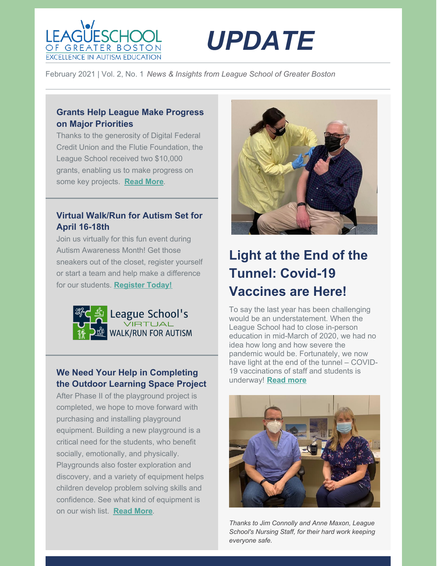



February 2021 | Vol. 2, No. 1 *News & Insights from League School of Greater Boston*

# **Grants Help League Make Progress on Major Priorities**

Thanks to the generosity of Digital Federal Credit Union and the Flutie Foundation, the League School received two \$10,000 grants, enabling us to make progress on some key projects. **[Read](https://leagueschool.org/grants-help-league-school-make-progress-on-major-priorities/) More**.

## **Virtual Walk/Run for Autism Set for April 16-18th**

Join us virtually for this fun event during Autism Awareness Month! Get those sneakers out of the closet, register yourself or start a team and help make a difference for our students. **[Register](https://secure.qgiv.com/event/leaguevirtual5k/) Today!**



### **We Need Your Help in Completing the Outdoor Learning Space Project**

After Phase II of the playground project is completed, we hope to move forward with purchasing and installing playground equipment. Building a new playground is a critical need for the students, who benefit socially, emotionally, and physically. Playgrounds also foster exploration and discovery, and a variety of equipment helps children develop problem solving skills and confidence. See what kind of equipment is on our wish list. **[Read](https://leagueschool.org/outdoor-learning-space-update-help-us-cross-the-finish-line/) More**.



# **Light at the End of the Tunnel: Covid-19 Vaccines are Here!**

To say the last year has been challenging would be an understatement. When the League School had to close in-person education in mid-March of 2020, we had no idea how long and how severe the pandemic would be. Fortunately, we now have light at the end of the tunnel – COVID-19 vaccinations of staff and students is underway! **[Read](https://leagueschool.org/light-at-the-end-of-the-tunnel-covid-19-vaccines-are-here/) more**



*Thanks to Jim Connolly and Anne Maxon, League School's Nursing Staff, for their hard work keeping everyone safe.*